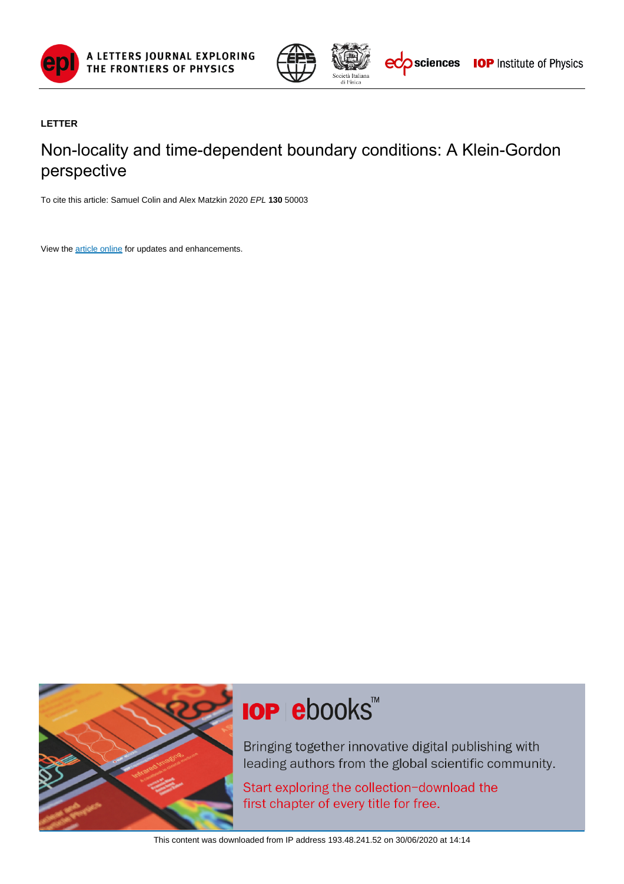



### **LETTER**

## Non-locality and time-dependent boundary conditions: A Klein-Gordon perspective

To cite this article: Samuel Colin and Alex Matzkin 2020 EPL **130** 50003

View the [article online](https://doi.org/10.1209/0295-5075/130/50003) for updates and enhancements.



# **IOP ebooks™**

Bringing together innovative digital publishing with leading authors from the global scientific community.

Start exploring the collection-download the first chapter of every title for free.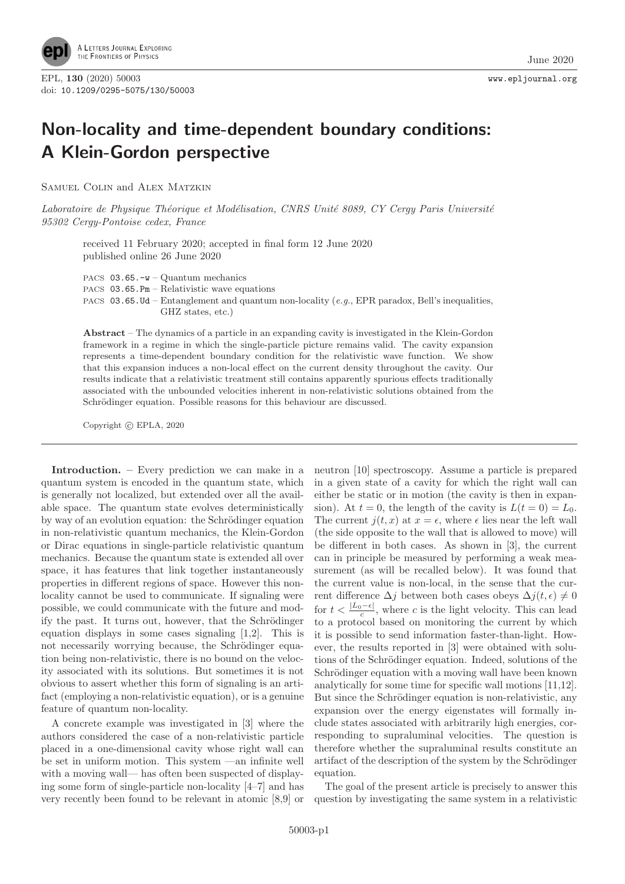

## **Non-locality and time-dependent boundary conditions: A Klein-Gordon perspective**

Samuel Colin and Alex Matzkin

Laboratoire de Physique Théorique et Modélisation, CNRS Unité 8089, CY Cergy Paris Université 95302 Cergy-Pontoise cedex, France

received 11 February 2020; accepted in final form 12 June 2020 published online 26 June 2020

PACS 03.65.-w – Quantum mechanics

PACS 03.65.Pm – Relativistic wave equations

PACS 03.65.Ud – Entanglement and quantum non-locality (e.g., EPR paradox, Bell's inequalities, GHZ states, etc.)

**Abstract** – The dynamics of a particle in an expanding cavity is investigated in the Klein-Gordon framework in a regime in which the single-particle picture remains valid. The cavity expansion represents a time-dependent boundary condition for the relativistic wave function. We show that this expansion induces a non-local effect on the current density throughout the cavity. Our results indicate that a relativistic treatment still contains apparently spurious effects traditionally associated with the unbounded velocities inherent in non-relativistic solutions obtained from the Schrödinger equation. Possible reasons for this behaviour are discussed.

Copyright  $\odot$  EPLA, 2020

**Introduction. –** Every prediction we can make in a quantum system is encoded in the quantum state, which is generally not localized, but extended over all the available space. The quantum state evolves deterministically by way of an evolution equation: the Schrödinger equation in non-relativistic quantum mechanics, the Klein-Gordon or Dirac equations in single-particle relativistic quantum mechanics. Because the quantum state is extended all over space, it has features that link together instantaneously properties in different regions of space. However this nonlocality cannot be used to communicate. If signaling were possible, we could communicate with the future and modify the past. It turns out, however, that the Schrödinger equation displays in some cases signaling [1,2]. This is not necessarily worrying because, the Schrödinger equation being non-relativistic, there is no bound on the velocity associated with its solutions. But sometimes it is not obvious to assert whether this form of signaling is an artifact (employing a non-relativistic equation), or is a genuine feature of quantum non-locality.

A concrete example was investigated in [3] where the authors considered the case of a non-relativistic particle placed in a one-dimensional cavity whose right wall can be set in uniform motion. This system —an infinite well with a moving wall— has often been suspected of displaying some form of single-particle non-locality [4–7] and has very recently been found to be relevant in atomic [8,9] or

neutron [10] spectroscopy. Assume a particle is prepared in a given state of a cavity for which the right wall can either be static or in motion (the cavity is then in expansion). At  $t = 0$ , the length of the cavity is  $L(t = 0) = L_0$ . The current  $j(t, x)$  at  $x = \epsilon$ , where  $\epsilon$  lies near the left wall (the side opposite to the wall that is allowed to move) will be different in both cases. As shown in [3], the current can in principle be measured by performing a weak measurement (as will be recalled below). It was found that the current value is non-local, in the sense that the current difference  $\Delta j$  between both cases obeys  $\Delta j(t, \epsilon) \neq 0$ for  $t < \frac{|L_0 - \epsilon|}{c}$ , where c is the light velocity. This can lead to a protocol based on monitoring the current by which it is possible to send information faster-than-light. However, the results reported in [3] were obtained with solutions of the Schrödinger equation. Indeed, solutions of the Schrödinger equation with a moving wall have been known analytically for some time for specific wall motions [11,12]. But since the Schrödinger equation is non-relativistic, any expansion over the energy eigenstates will formally include states associated with arbitrarily high energies, corresponding to supraluminal velocities. The question is therefore whether the supraluminal results constitute an artifact of the description of the system by the Schrödinger equation.

The goal of the present article is precisely to answer this question by investigating the same system in a relativistic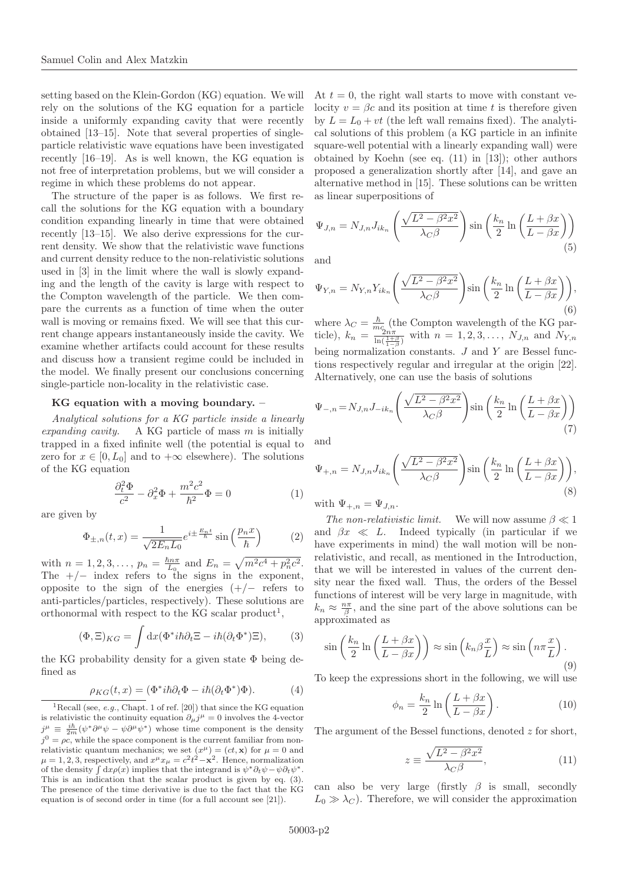setting based on the Klein-Gordon (KG) equation. We will rely on the solutions of the KG equation for a particle inside a uniformly expanding cavity that were recently obtained [13–15]. Note that several properties of singleparticle relativistic wave equations have been investigated recently [16–19]. As is well known, the KG equation is not free of interpretation problems, but we will consider a regime in which these problems do not appear.

The structure of the paper is as follows. We first recall the solutions for the KG equation with a boundary condition expanding linearly in time that were obtained recently [13–15]. We also derive expressions for the current density. We show that the relativistic wave functions and current density reduce to the non-relativistic solutions used in [3] in the limit where the wall is slowly expanding and the length of the cavity is large with respect to the Compton wavelength of the particle. We then compare the currents as a function of time when the outer wall is moving or remains fixed. We will see that this current change appears instantaneously inside the cavity. We examine whether artifacts could account for these results and discuss how a transient regime could be included in the model. We finally present our conclusions concerning single-particle non-locality in the relativistic case.

#### **KG equation with a moving boundary. –**

Analytical solutions for a KG particle inside a linearly expanding cavity. A KG particle of mass  $m$  is initially trapped in a fixed infinite well (the potential is equal to zero for  $x \in [0, L_0]$  and to  $+\infty$  elsewhere). The solutions of the KG equation

$$
\frac{\partial_t^2 \Phi}{c^2} - \partial_x^2 \Phi + \frac{m^2 c^2}{\hbar^2} \Phi = 0 \tag{1}
$$

are given by

$$
\Phi_{\pm,n}(t,x) = \frac{1}{\sqrt{2E_nL_0}} e^{i\pm\frac{E_nt}{\hbar}} \sin\left(\frac{p_nx}{\hbar}\right) \tag{2}
$$

with  $n = 1, 2, 3, \ldots, p_n = \frac{\hbar n \pi}{L_0}$  and  $E_n = \sqrt{m^2 c^4 + p_n^2 c^2}$ . The  $+/-$  index refers to the signs in the exponent, opposite to the sign of the energies  $(+/-$  refers to anti-particles/particles, respectively). These solutions are orthonormal with respect to the KG scalar product<sup>1</sup>,

$$
(\Phi, \Xi)_{KG} = \int dx (\Phi^* i\hbar \partial_t \Xi - i\hbar (\partial_t \Phi^*) \Xi), \qquad (3)
$$

the KG probability density for a given state  $\Phi$  being defined as

$$
\rho_{KG}(t,x) = (\Phi^* i\hbar \partial_t \Phi - i\hbar (\partial_t \Phi^*) \Phi). \tag{4}
$$

At  $t = 0$ , the right wall starts to move with constant velocity  $v = \beta c$  and its position at time t is therefore given by  $L = L_0 + vt$  (the left wall remains fixed). The analytical solutions of this problem (a KG particle in an infinite square-well potential with a linearly expanding wall) were obtained by Koehn (see eq. (11) in [13]); other authors proposed a generalization shortly after [14], and gave an alternative method in [15]. These solutions can be written as linear superpositions of

$$
\Psi_{J,n} = N_{J,n} J_{ik_n} \left( \frac{\sqrt{L^2 - \beta^2 x^2}}{\lambda_C \beta} \right) \sin \left( \frac{k_n}{2} \ln \left( \frac{L + \beta x}{L - \beta x} \right) \right)
$$
\n(5)

and

$$
\Psi_{Y,n} = N_{Y,n} Y_{ik_n} \left( \frac{\sqrt{L^2 - \beta^2 x^2}}{\lambda_C \beta} \right) \sin \left( \frac{k_n}{2} \ln \left( \frac{L + \beta x}{L - \beta x} \right) \right),\tag{6}
$$

where  $\lambda_C = \frac{\hbar}{m c_0}$  (the Compton wavelength of the KG particle),  $k_n = \frac{m_{2n\pi}}{\ln(\frac{1+\beta}{1-\beta})}$  with  $n = 1, 2, 3, ..., N_{J,n}$  and  $N_{Y,n}$ being normalization constants.  $J$  and  $Y$  are Bessel functions respectively regular and irregular at the origin [22]. Alternatively, one can use the basis of solutions

$$
\Psi_{-,n} = N_{J,n} J_{-ik_n} \left( \frac{\sqrt{L^2 - \beta^2 x^2}}{\lambda_C \beta} \right) \sin \left( \frac{k_n}{2} \ln \left( \frac{L + \beta x}{L - \beta x} \right) \right)
$$
\n(7)

and

$$
\Psi_{+,n} = N_{J,n} J_{ik_n} \left( \frac{\sqrt{L^2 - \beta^2 x^2}}{\lambda_C \beta} \right) \sin \left( \frac{k_n}{2} \ln \left( \frac{L + \beta x}{L - \beta x} \right) \right),\tag{8}
$$

with  $\Psi_{+,n} = \Psi_{J,n}$ .

The non-relativistic limit. We will now assume  $\beta \ll 1$ and  $\beta x \ll L$ . Indeed typically (in particular if we have experiments in mind) the wall motion will be nonrelativistic, and recall, as mentioned in the Introduction, that we will be interested in values of the current density near the fixed wall. Thus, the orders of the Bessel functions of interest will be very large in magnitude, with  $k_n \approx \frac{n\pi}{\beta}$ , and the sine part of the above solutions can be approximated as

$$
\sin\left(\frac{k_n}{2}\ln\left(\frac{L+\beta x}{L-\beta x}\right)\right) \approx \sin\left(k_n\beta\frac{x}{L}\right) \approx \sin\left(n\pi\frac{x}{L}\right). \tag{9}
$$

To keep the expressions short in the following, we will use

$$
\phi_n = \frac{k_n}{2} \ln \left( \frac{L + \beta x}{L - \beta x} \right). \tag{10}
$$

The argument of the Bessel functions, denoted z for short,

$$
z \equiv \frac{\sqrt{L^2 - \beta^2 x^2}}{\lambda_C \beta},\tag{11}
$$

can also be very large (firstly  $\beta$  is small, secondly  $L_0 \gg \lambda_C$ ). Therefore, we will consider the approximation

<sup>&</sup>lt;sup>1</sup>Recall (see, *e.g.*, Chapt. 1 of ref. [20]) that since the KG equation is relativistic the continuity equation  $\partial_{\mu}j^{\mu} = 0$  involves the 4-vector  $j^{\mu} \equiv \frac{i\hbar}{2m} (\psi^* \partial^{\mu} \psi - \psi \partial^{\mu} \psi^*)$  whose time component is the density  $j^0 = \rho c$ , while the space component is the current familiar from nonrelativistic quantum mechanics; we set  $(x^{\mu})=(ct, \mathbf{x})$  for  $\mu=0$  and  $\mu = 1, 2, 3$ , respectively, and  $x^{\mu}x_{\mu} = c^2t^2 - \mathbf{x}^2$ . Hence, normalization of the density  $\int dx \rho(x)$  implies that the integrand is  $\psi^* \partial_t \psi - \psi \partial_t \psi^*$ . This is an indication that the scalar product is given by eq. (3). The presence of the time derivative is due to the fact that the KG equation is of second order in time (for a full account see [21]).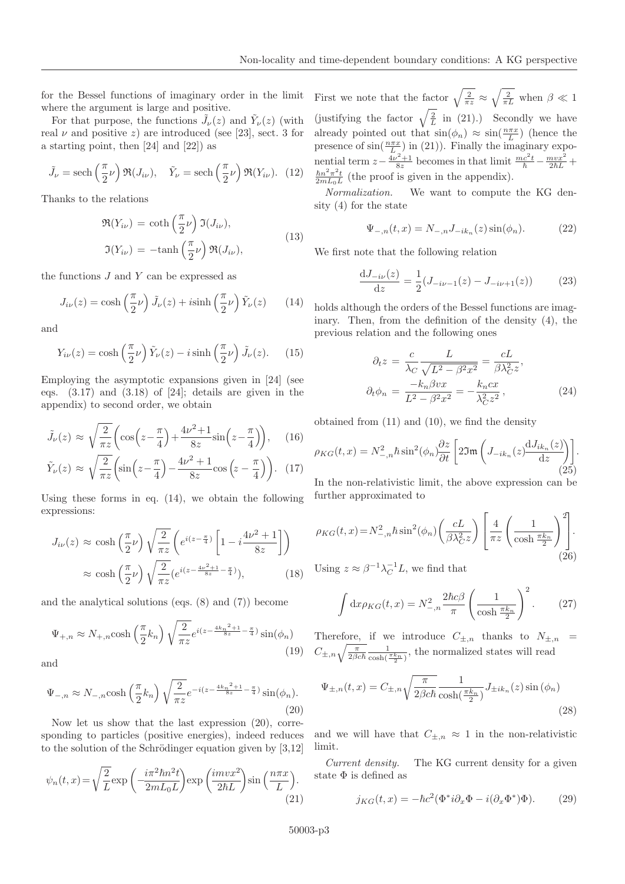for the Bessel functions of imaginary order in the limit where the argument is large and positive.

For that purpose, the functions  $\tilde{J}_{\nu}(z)$  and  $\tilde{Y}_{\nu}(z)$  (with real  $\nu$  and positive z) are introduced (see [23], sect. 3 for a starting point, then [24] and [22]) as

$$
\tilde{J}_{\nu} = \text{sech}\left(\frac{\pi}{2}\nu\right) \Re(J_{i\nu}), \quad \tilde{Y}_{\nu} = \text{sech}\left(\frac{\pi}{2}\nu\right) \Re(Y_{i\nu}). \tag{12}
$$

Thanks to the relations

$$
\mathfrak{R}(Y_{i\nu}) = \coth\left(\frac{\pi}{2}\nu\right)\mathfrak{I}(J_{i\nu}),
$$
  

$$
\mathfrak{I}(Y_{i\nu}) = -\tanh\left(\frac{\pi}{2}\nu\right)\mathfrak{R}(J_{i\nu}),
$$
 (13)

the functions  $J$  and  $Y$  can be expressed as

$$
J_{i\nu}(z) = \cosh\left(\frac{\pi}{2}\nu\right)\tilde{J}_{\nu}(z) + i\sinh\left(\frac{\pi}{2}\nu\right)\tilde{Y}_{\nu}(z) \qquad (14)
$$

and

$$
Y_{i\nu}(z) = \cosh\left(\frac{\pi}{2}\nu\right)\tilde{Y}_{\nu}(z) - i\sinh\left(\frac{\pi}{2}\nu\right)\tilde{J}_{\nu}(z). \tag{15}
$$

Employing the asymptotic expansions given in [24] (see eqs.  $(3.17)$  and  $(3.18)$  of [24]; details are given in the appendix) to second order, we obtain

$$
\tilde{J}_{\nu}(z) \approx \sqrt{\frac{2}{\pi z}} \left( \cos \left( z - \frac{\pi}{4} \right) + \frac{4\nu^2 + 1}{8z} \sin \left( z - \frac{\pi}{4} \right) \right), \quad (16)
$$

$$
\tilde{Y}_{\nu}(z) \approx \sqrt{\frac{2}{\pi z}} \left( \sin \left( z - \frac{\pi}{4} \right) - \frac{4\nu^2 + 1}{8z} \cos \left( z - \frac{\pi}{4} \right) \right). \quad (17)
$$

Using these forms in eq. (14), we obtain the following expressions:

$$
J_{i\nu}(z) \approx \cosh\left(\frac{\pi}{2}\nu\right) \sqrt{\frac{2}{\pi z}} \left(e^{i(z-\frac{\pi}{4})} \left[1 - i\frac{4\nu^2 + 1}{8z}\right]\right)
$$

$$
\approx \cosh\left(\frac{\pi}{2}\nu\right) \sqrt{\frac{2}{\pi z}} \left(e^{i(z-\frac{4\nu^2+1}{8z}-\frac{\pi}{4})}\right),\tag{18}
$$

and the analytical solutions (eqs. (8) and (7)) become

$$
\Psi_{+,n} \approx N_{+,n} \cosh\left(\frac{\pi}{2}k_n\right) \sqrt{\frac{2}{\pi z}} e^{i(z - \frac{4k_n^2 + 1}{8z} - \frac{\pi}{4})} \sin(\phi_n)
$$
\n(19)

and

$$
\Psi_{-,n} \approx N_{-,n} \cosh\left(\frac{\pi}{2}k_n\right) \sqrt{\frac{2}{\pi z}} e^{-i(z - \frac{4k_n^2 + 1}{8z} - \frac{\pi}{4})} \sin(\phi_n).
$$
\n(20)

Now let us show that the last expression (20), corresponding to particles (positive energies), indeed reduces to the solution of the Schrödinger equation given by  $[3,12]$ 

$$
\psi_n(t,x) = \sqrt{\frac{2}{L}} \exp\left(-\frac{i\pi^2 \hbar n^2 t}{2m L_0 L}\right) \exp\left(\frac{imvx^2}{2\hbar L}\right) \sin\left(\frac{n\pi x}{L}\right). \tag{21}
$$

First we note that the factor  $\sqrt{\frac{2}{\pi z}} \approx \sqrt{\frac{2}{\pi L}}$  when  $\beta \ll 1$ (justifying the factor  $\sqrt{\frac{2}{L}}$  in (21).) Secondly we have already pointed out that  $\sin(\phi_n) \approx \sin(\frac{n\pi x}{L})$  (hence the presence of  $\sin(\frac{n\pi x}{L})$  in (21)). Finally the imaginary exponential term  $z - \frac{4\nu^2 + 1}{8z}$  becomes in that limit  $\frac{mc^2t}{\hbar} - \frac{mvx^2}{2\hbar L} +$  $\frac{\hbar n^2 \pi^2 t}{2mL_0L}$  (the proof is given in the appendix).

Normalization. We want to compute the KG density (4) for the state

$$
\Psi_{-,n}(t,x) = N_{-,n} J_{-ik_n}(z) \sin(\phi_n).
$$
 (22)

We first note that the following relation

$$
\frac{\mathrm{d}J_{-i\nu}(z)}{\mathrm{d}z} = \frac{1}{2}(J_{-i\nu-1}(z) - J_{-i\nu+1}(z))\tag{23}
$$

holds although the orders of the Bessel functions are imaginary. Then, from the definition of the density (4), the previous relation and the following ones

$$
\partial_t z = \frac{c}{\lambda_C} \frac{L}{\sqrt{L^2 - \beta^2 x^2}} = \frac{cL}{\beta \lambda_C^2 z},
$$
  

$$
\partial_t \phi_n = \frac{-k_n \beta v x}{L^2 - \beta^2 x^2} = -\frac{k_n c x}{\lambda_C^2 z^2},
$$
(24)

obtained from (11) and (10), we find the density

$$
\rho_{KG}(t,x) = N_{-,n}^2 \hbar \sin^2(\phi_n) \frac{\partial z}{\partial t} \left[ 2\Im\mathfrak{m}\left( J_{-ik_n}(z) \frac{\mathrm{d}J_{ik_n}(z)}{\mathrm{d}z} \right) \right].
$$
\n(25)

In the non-relativistic limit, the above expression can be further approximated to

$$
\rho_{KG}(t,x) = N_{-,n}^2 \hbar \sin^2(\phi_n) \left(\frac{cL}{\beta \lambda_C^2 z}\right) \left[\frac{4}{\pi z} \left(\frac{1}{\cosh \frac{\pi k_n}{2}}\right)^2\right].
$$
\n
$$
\text{Using } z \approx \beta^{-1} \lambda^{-1} L \text{ we find that}
$$
\n
$$
(26)
$$

Using  $z \approx \beta^{-1} \lambda_C^{-1} L$ , we find that

$$
\int dx \rho_{KG}(t,x) = N_{-,n}^2 \frac{2\hbar c \beta}{\pi} \left(\frac{1}{\cosh\frac{\pi k_n}{2}}\right)^2.
$$
 (27)

Therefore, if we introduce  $C_{\pm,n}$  thanks to  $N_{\pm,n}$  =  $C_{\pm,n}\sqrt{\frac{\pi}{2\beta c\hbar}}\frac{1}{\cosh(\frac{\pi k_n}{2})}$ , the normalized states will read

$$
\Psi_{\pm,n}(t,x) = C_{\pm,n} \sqrt{\frac{\pi}{2\beta c\hbar}} \frac{1}{\cosh(\frac{\pi k_n}{2})} J_{\pm ik_n}(z) \sin(\phi_n)
$$
\n(28)

and we will have that  $C_{\pm,n} \approx 1$  in the non-relativistic limit.

Current density. The KG current density for a given state  $\Phi$  is defined as

$$
j_{KG}(t,x) = -\hbar c^2 (\Phi^* i \partial_x \Phi - i(\partial_x \Phi^*) \Phi). \tag{29}
$$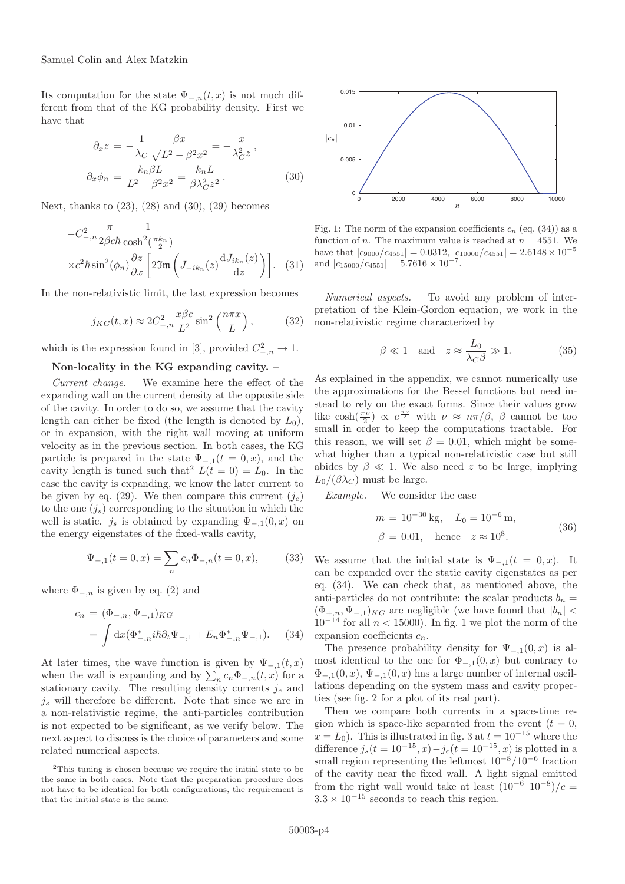Its computation for the state  $\Psi_{-,n}(t,x)$  is not much different from that of the KG probability density. First we have that

$$
\partial_x z = -\frac{1}{\lambda_C} \frac{\beta x}{\sqrt{L^2 - \beta^2 x^2}} = -\frac{x}{\lambda_C^2 z},
$$
  

$$
\partial_x \phi_n = \frac{k_n \beta L}{L^2 - \beta^2 x^2} = \frac{k_n L}{\beta \lambda_C^2 z^2}.
$$
 (30)

Next, thanks to  $(23)$ ,  $(28)$  and  $(30)$ ,  $(29)$  becomes

$$
-C_{-,n}^{2} \frac{\pi}{2\beta c\hbar} \frac{1}{\cosh^{2}(\frac{\pi k_{n}}{2})}
$$

$$
\times c^{2} \hbar \sin^{2}(\phi_{n}) \frac{\partial z}{\partial x} \left[2\Im(\mathbf{L}_{-ik_{n}}(z) \frac{\mathrm{d}J_{ik_{n}}(z)}{\mathrm{d}z})\right]. \quad (31)
$$

In the non-relativistic limit, the last expression becomes

$$
j_{KG}(t,x) \approx 2C_{-,n}^2 \frac{x\beta c}{L^2} \sin^2\left(\frac{n\pi x}{L}\right),\tag{32}
$$

which is the expression found in [3], provided  $C^2_{-,n} \to 1$ .

#### **Non-locality in the KG expanding cavity. –**

Current change. We examine here the effect of the expanding wall on the current density at the opposite side of the cavity. In order to do so, we assume that the cavity length can either be fixed (the length is denoted by  $L_0$ ), or in expansion, with the right wall moving at uniform velocity as in the previous section. In both cases, the KG particle is prepared in the state  $\Psi_{-,1}(t=0,x)$ , and the cavity length is tuned such that  $L(t = 0) = L_0$ . In the case the cavity is expanding, we know the later current to be given by eq. (29). We then compare this current  $(j_e)$ to the one  $(j_s)$  corresponding to the situation in which the well is static.  $j_s$  is obtained by expanding  $\Psi_{-,1}(0,x)$  on the energy eigenstates of the fixed-walls cavity,

$$
\Psi_{-,1}(t=0,x) = \sum_{n} c_n \Phi_{-,n}(t=0,x), \tag{33}
$$

where  $\Phi_{-,n}$  is given by eq. (2) and

$$
c_n = (\Phi_{-,n}, \Psi_{-,1})_{KG}
$$
  
=  $\int dx (\Phi_{-,n}^* i\hbar \partial_t \Psi_{-,1} + E_n \Phi_{-,n}^* \Psi_{-,1}).$  (34)

At later times, the wave function is given by  $\Psi_{-,1}(t,x)$ when the wall is expanding and by  $\sum_n c_n \Phi_{-,n}(t,x)$  for a stationary cavity. The resulting density currents  $j_e$  and  $j_s$  will therefore be different. Note that since we are in a non-relativistic regime, the anti-particles contribution is not expected to be significant, as we verify below. The next aspect to discuss is the choice of parameters and some related numerical aspects.



Fig. 1: The norm of the expansion coefficients  $c_n$  (eq. (34)) as a function of *n*. The maximum value is reached at  $n = 4551$ . We have that  $|c_{9000}/c_{4551}| = 0.0312, |c_{10000}/c_{4551}| = 2.6148 \times 10^{-5}$ and  $|c_{15000}/c_{4551}| = 5.7616 \times 10^{-7}$ 

Numerical aspects. To avoid any problem of interpretation of the Klein-Gordon equation, we work in the non-relativistic regime characterized by

$$
\beta \ll 1
$$
 and  $z \approx \frac{L_0}{\lambda_C \beta} \gg 1.$  (35)

As explained in the appendix, we cannot numerically use the approximations for the Bessel functions but need instead to rely on the exact forms. Since their values grow like  $\cosh(\frac{\pi\nu}{2}) \propto e^{\frac{\pi\nu}{2}}$  with  $\nu \approx n\pi/\beta$ ,  $\beta$  cannot be too small in order to keep the computations tractable. For this reason, we will set  $\beta = 0.01$ , which might be somewhat higher than a typical non-relativistic case but still abides by  $\beta \ll 1$ . We also need z to be large, implying  $L_0/(\beta \lambda_C)$  must be large.

Example. We consider the case

$$
m = 10^{-30} \text{ kg}, \quad L_0 = 10^{-6} \text{ m},
$$
  

$$
\beta = 0.01, \quad \text{hence} \quad z \approx 10^8.
$$
 (36)

We assume that the initial state is  $\Psi_{-,1}(t = 0, x)$ . It can be expanded over the static cavity eigenstates as per eq. (34). We can check that, as mentioned above, the anti-particles do not contribute: the scalar products  $b_n =$  $(\Phi_{+,n}, \Psi_{-,1})_{KG}$  are negligible (we have found that  $|b_n|$  <  $10^{-14}$  for all  $n < 15000$ ). In fig. 1 we plot the norm of the expansion coefficients  $c_n$ .

The presence probability density for  $\Psi_{-,1}(0,x)$  is almost identical to the one for  $\Phi_{-,1}(0,x)$  but contrary to  $\Phi_{-,1}(0,x), \Psi_{-,1}(0,x)$  has a large number of internal oscillations depending on the system mass and cavity properties (see fig. 2 for a plot of its real part).

Then we compare both currents in a space-time region which is space-like separated from the event  $(t = 0,$  $x = L_0$ ). This is illustrated in fig. 3 at  $t = 10^{-15}$  where the difference  $j_s(t = 10^{-15}, x) - j_e(t = 10^{-15}, x)$  is plotted in a small region representing the leftmost  $10^{-8}/10^{-6}$  fraction of the cavity near the fixed wall. A light signal emitted from the right wall would take at least  $(10^{-6}-10^{-8})/c =$  $3.3 \times 10^{-15}$  seconds to reach this region.

<sup>2</sup>This tuning is chosen because we require the initial state to be the same in both cases. Note that the preparation procedure does not have to be identical for both configurations, the requirement is that the initial state is the same.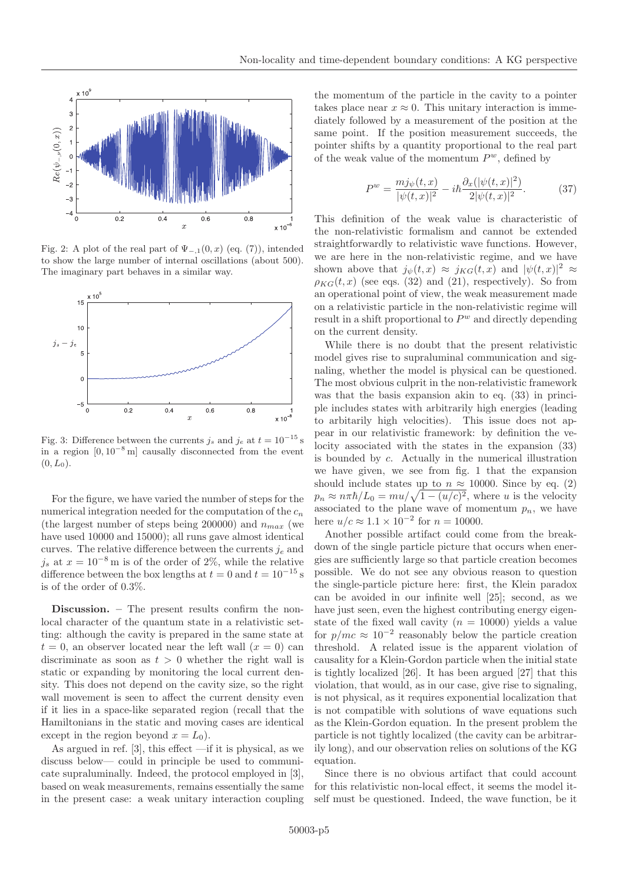

Fig. 2: A plot of the real part of  $\Psi_{-,1}(0,x)$  (eq. (7)), intended to show the large number of internal oscillations (about 500). The imaginary part behaves in a similar way.



Fig. 3: Difference between the currents  $j_s$  and  $j_e$  at  $t = 10^{-15}$  s in a region  $[0, 10^{-8} \text{ m}]$  causally disconnected from the event  $(0, L_0).$ 

For the figure, we have varied the number of steps for the numerical integration needed for the computation of the  $c_n$ (the largest number of steps being 200000) and  $n_{max}$  (we have used 10000 and 15000); all runs gave almost identical curves. The relative difference between the currents  $j_e$  and  $j_s$  at  $x = 10^{-8}$  m is of the order of 2%, while the relative difference between the box lengths at  $t = 0$  and  $t = 10^{-15}$  s is of the order of 0.3%.

**Discussion. –** The present results confirm the nonlocal character of the quantum state in a relativistic setting: although the cavity is prepared in the same state at  $t = 0$ , an observer located near the left wall  $(x = 0)$  can discriminate as soon as  $t > 0$  whether the right wall is static or expanding by monitoring the local current density. This does not depend on the cavity size, so the right wall movement is seen to affect the current density even if it lies in a space-like separated region (recall that the Hamiltonians in the static and moving cases are identical except in the region beyond  $x = L_0$ ).

As argued in ref. [3], this effect —if it is physical, as we discuss below— could in principle be used to communicate supraluminally. Indeed, the protocol employed in [3], based on weak measurements, remains essentially the same in the present case: a weak unitary interaction coupling

the momentum of the particle in the cavity to a pointer takes place near  $x \approx 0$ . This unitary interaction is immediately followed by a measurement of the position at the same point. If the position measurement succeeds, the pointer shifts by a quantity proportional to the real part of the weak value of the momentum  $P^w$ , defined by

$$
P^{w} = \frac{m j_{\psi}(t, x)}{|\psi(t, x)|^{2}} - i\hbar \frac{\partial_{x}(|\psi(t, x)|^{2})}{2|\psi(t, x)|^{2}}.
$$
 (37)

This definition of the weak value is characteristic of the non-relativistic formalism and cannot be extended straightforwardly to relativistic wave functions. However, we are here in the non-relativistic regime, and we have shown above that  $j_{\psi}(t,x) \approx j_{KG}(t,x)$  and  $|\psi(t,x)|^2 \approx$  $\rho_{KG}(t, x)$  (see eqs. (32) and (21), respectively). So from an operational point of view, the weak measurement made on a relativistic particle in the non-relativistic regime will result in a shift proportional to  $P<sup>w</sup>$  and directly depending on the current density.

While there is no doubt that the present relativistic model gives rise to supraluminal communication and signaling, whether the model is physical can be questioned. The most obvious culprit in the non-relativistic framework was that the basis expansion akin to eq. (33) in principle includes states with arbitrarily high energies (leading to arbitarily high velocities). This issue does not appear in our relativistic framework: by definition the velocity associated with the states in the expansion (33) is bounded by c. Actually in the numerical illustration we have given, we see from fig. 1 that the expansion should include states up to  $n \approx 10000$ . Since by eq. (2)  $p_n \approx n\pi\hbar/L_0 = mu/\sqrt{1-(u/c)^2}$ , where u is the velocity associated to the plane wave of momentum  $p_n$ , we have here  $u/c \approx 1.1 \times 10^{-2}$  for  $n = 10000$ .

Another possible artifact could come from the breakdown of the single particle picture that occurs when energies are sufficiently large so that particle creation becomes possible. We do not see any obvious reason to question the single-particle picture here: first, the Klein paradox can be avoided in our infinite well [25]; second, as we have just seen, even the highest contributing energy eigenstate of the fixed wall cavity  $(n = 10000)$  yields a value for  $p/mc \approx 10^{-2}$  reasonably below the particle creation threshold. A related issue is the apparent violation of causality for a Klein-Gordon particle when the initial state is tightly localized [26]. It has been argued [27] that this violation, that would, as in our case, give rise to signaling, is not physical, as it requires exponential localization that is not compatible with solutions of wave equations such as the Klein-Gordon equation. In the present problem the particle is not tightly localized (the cavity can be arbitrarily long), and our observation relies on solutions of the KG equation.

Since there is no obvious artifact that could account for this relativistic non-local effect, it seems the model itself must be questioned. Indeed, the wave function, be it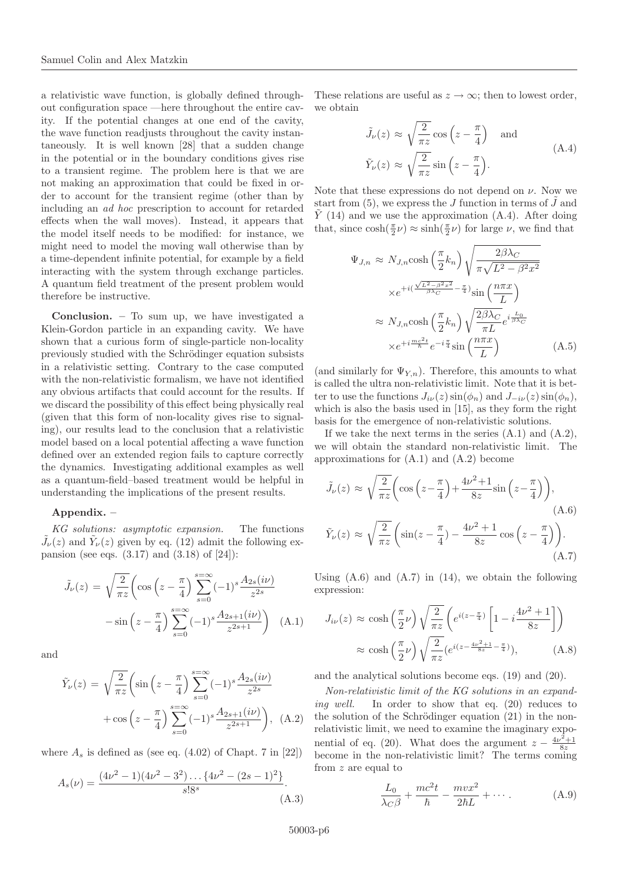a relativistic wave function, is globally defined throughout configuration space —here throughout the entire cavity. If the potential changes at one end of the cavity, the wave function readjusts throughout the cavity instantaneously. It is well known [28] that a sudden change in the potential or in the boundary conditions gives rise to a transient regime. The problem here is that we are not making an approximation that could be fixed in order to account for the transient regime (other than by including an ad hoc prescription to account for retarded effects when the wall moves). Instead, it appears that the model itself needs to be modified: for instance, we might need to model the moving wall otherwise than by a time-dependent infinite potential, for example by a field interacting with the system through exchange particles. A quantum field treatment of the present problem would therefore be instructive.

**Conclusion. –** To sum up, we have investigated a Klein-Gordon particle in an expanding cavity. We have shown that a curious form of single-particle non-locality previously studied with the Schrödinger equation subsists in a relativistic setting. Contrary to the case computed with the non-relativistic formalism, we have not identified any obvious artifacts that could account for the results. If we discard the possibility of this effect being physically real (given that this form of non-locality gives rise to signaling), our results lead to the conclusion that a relativistic model based on a local potential affecting a wave function defined over an extended region fails to capture correctly the dynamics. Investigating additional examples as well as a quantum-field–based treatment would be helpful in understanding the implications of the present results.

#### **Appendix. –**

KG solutions: asymptotic expansion. The functions  $\tilde{J}_{\nu}(z)$  and  $\tilde{Y}_{\nu}(z)$  given by eq. (12) admit the following expansion (see eqs.  $(3.17)$  and  $(3.18)$  of  $[24]$ ):

$$
\tilde{J}_{\nu}(z) = \sqrt{\frac{2}{\pi z}} \left( \cos \left( z - \frac{\pi}{4} \right) \sum_{s=0}^{s=\infty} (-1)^s \frac{A_{2s}(i\nu)}{z^{2s}} -\sin \left( z - \frac{\pi}{4} \right) \sum_{s=0}^{s=\infty} (-1)^s \frac{A_{2s+1}(i\nu)}{z^{2s+1}} \right) \tag{A.1}
$$

and

$$
\tilde{Y}_{\nu}(z) = \sqrt{\frac{2}{\pi z}} \left( \sin \left( z - \frac{\pi}{4} \right) \sum_{s=0}^{s=\infty} (-1)^s \frac{A_{2s}(i\nu)}{z^{2s}} + \cos \left( z - \frac{\pi}{4} \right) \sum_{s=0}^{s=\infty} (-1)^s \frac{A_{2s+1}(i\nu)}{z^{2s+1}} \right), \quad (A.2)
$$

where  $A_s$  is defined as (see eq. (4.02) of Chapt. 7 in [22])

$$
A_s(\nu) = \frac{(4\nu^2 - 1)(4\nu^2 - 3^2)\dots\{4\nu^2 - (2s - 1)^2\}}{s!8^s}.
$$
\n(A.3)

These relations are useful as  $z \to \infty$ ; then to lowest order, we obtain

$$
\tilde{J}_{\nu}(z) \approx \sqrt{\frac{2}{\pi z}} \cos \left(z - \frac{\pi}{4}\right) \text{ and}
$$
\n
$$
\tilde{Y}_{\nu}(z) \approx \sqrt{\frac{2}{\pi z}} \sin \left(z - \frac{\pi}{4}\right).
$$
\n(A.4)

Note that these expressions do not depend on  $\nu$ . Now we start from  $(5)$ , we express the J function in terms of  $\tilde{J}$  and  $\hat{Y}$  (14) and we use the approximation (A.4). After doing that, since  $\cosh(\frac{\pi}{2}\nu) \approx \sinh(\frac{\pi}{2}\nu)$  for large  $\nu$ , we find that

$$
\Psi_{J,n} \approx N_{J,n} \cosh\left(\frac{\pi}{2}k_n\right) \sqrt{\frac{2\beta\lambda_C}{\pi\sqrt{L^2 - \beta^2 x^2}}}
$$
\n
$$
\times e^{+i\left(\frac{\sqrt{L^2 - \beta^2 x^2}}{\beta\lambda_C} - \frac{\pi}{4}\right)} \sin\left(\frac{n\pi x}{L}\right)
$$
\n
$$
\approx N_{J,n} \cosh\left(\frac{\pi}{2}k_n\right) \sqrt{\frac{2\beta\lambda_C}{\pi L}} e^{i\frac{L_0}{\beta\lambda_C}}
$$
\n
$$
\times e^{+i\frac{mc^2 t}{\hbar}} e^{-i\frac{\pi}{4}} \sin\left(\frac{n\pi x}{L}\right) \tag{A.5}
$$

(and similarly for  $\Psi_{Y,n}$ ). Therefore, this amounts to what is called the ultra non-relativistic limit. Note that it is better to use the functions  $J_{i\nu}(z)$  sin $(\phi_n)$  and  $J_{-i\nu}(z)$  sin $(\phi_n)$ , which is also the basis used in [15], as they form the right basis for the emergence of non-relativistic solutions.

If we take the next terms in the series  $(A.1)$  and  $(A.2)$ , we will obtain the standard non-relativistic limit. The approximations for (A.1) and (A.2) become

$$
\tilde{J}_{\nu}(z) \approx \sqrt{\frac{2}{\pi z}} \left( \cos \left( z - \frac{\pi}{4} \right) + \frac{4\nu^2 + 1}{8z} \sin \left( z - \frac{\pi}{4} \right) \right),
$$
\n(A.6)\n
$$
\tilde{Y}_{\nu}(z) \approx \sqrt{\frac{2}{\pi z}} \left( \sin \left( z - \frac{\pi}{4} \right) - \frac{4\nu^2 + 1}{8z} \cos \left( z - \frac{\pi}{4} \right) \right).
$$
\n(A.7)

Using  $(A.6)$  and  $(A.7)$  in  $(14)$ , we obtain the following expression:

$$
J_{i\nu}(z) \approx \cosh\left(\frac{\pi}{2}\nu\right) \sqrt{\frac{2}{\pi z}} \left(e^{i(z-\frac{\pi}{4})}\left[1 - i\frac{4\nu^2 + 1}{8z}\right]\right)
$$

$$
\approx \cosh\left(\frac{\pi}{2}\nu\right) \sqrt{\frac{2}{\pi z}} \left(e^{i(z-\frac{4\nu^2+1}{8z}-\frac{\pi}{4})}\right), \tag{A.8}
$$

and the analytical solutions become eqs. (19) and (20).

Non-relativistic limit of the KG solutions in an expanding well. In order to show that eq. (20) reduces to the solution of the Schrödinger equation  $(21)$  in the nonrelativistic limit, we need to examine the imaginary exponential of eq. (20). What does the argument  $z - \frac{4\nu^2 + 1}{8z}$ become in the non-relativistic limit? The terms coming from z are equal to

$$
\frac{L_0}{\lambda_C \beta} + \frac{mc^2t}{\hbar} - \frac{mvx^2}{2\hbar L} + \cdots.
$$
 (A.9)